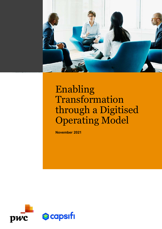

# Enabling Transformation through a Digitised Operating Model

November 2021



 $\overline{\phantom{a}}$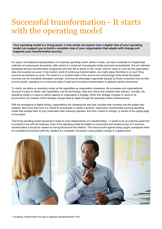## Successful transformation– It starts with the operating model

Your operating model is a living asset; in this article we explore how a digital view of your operating model can support you to build a complete view of your organisation that adapts with change and supports your transformation journey.

For years, the traditional representation of a business operating model, where it exists, has been contained in a fragmented collection of unstructured documents, often stored in a smart set of powerpoint slides and excel spreadsheets, that are intensely developed during a transformation programme and then left to decay on the 'virtual' shelf for years to come as the organisation slips into business as usual. In the modern world of continuous transformation, one might argue that there is no such thing anymore as business as usual. The world is in a constant state of flux and we are living through times where the global economy can be completely disrupted overnight. Commercial advantage is generally enjoyed by those companies that are able to pivot quickly, operating in a continuous state of rapid and innovative transformation to address market movements.

To clarify, we define an operating model as the capabilities an organisation possesses, the processes and organisational structure in place to deliver said capabilities, and the technology, data and culture that underpin their delivery. Crucially, the operating model is in place to deliver against an organisation's strategy. When that strategy changes or reacts to its environment, the impacts of that strategic change need to ripple through the operating model instantaneously.

With the emergence of digital tooling, organisations are changing the way they visualise their business and the assets they possess. Now more than ever it is critical for businesses to create a dynamic, responsive, incrementally evolving operating model that enables them to truly understand their business operation and how it needs to change, to remain at the cutting edge of innovation.

That living operating model perspective needs to exist independently of a transformation – it needs to be an enduring asset that is evolved in line with the business. Even if the operating model foundation is constructed and funded as part of a business transformation it should be viewed as having life beyond the initiative. This future-proofs against being caught unprepared when an inevitable environment shift hits, whether it's competitor movement, socio-political change or a global event.

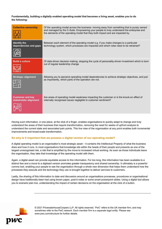#### Fundamentally, building a digitally enabled operating model that becomes a living asset, enables you to do the following:

| <b>Collective ownership</b>                      | Of the operating model across the business- moving away from something that is purely owned<br>and managed by the C-Suite. Empowering your people to truly understand the enterprise and<br>the elements of the operating model that they both impact and are impacted by. |
|--------------------------------------------------|----------------------------------------------------------------------------------------------------------------------------------------------------------------------------------------------------------------------------------------------------------------------------|
| <b>Identify the</b><br>dependencies and gaps     | Between each element of the operating model e.g. if you make changes to a particular<br>technology system, which processes are impacted and which roles need to be retrained?                                                                                              |
| <b>Build a culture</b>                           | Of data-driven decision making, stopping the cycle of personality-driven investment which is born<br>out of regular leadership change                                                                                                                                      |
| <b>Strategic alignment</b>                       | Allowing you to perceive operating model dependencies to achieve strategic objectives, and just<br>as importantly, which parts of the operation are not.                                                                                                                   |
| <b>Customer and key</b><br>stakeholder alignment | Are areas of operating model weakness impacting the customer or is the knock-on effect of<br>internally recognised issues negligible to customer sentiment?                                                                                                                |

Having such information, in one place, at the click of a finger, enables organisations to quickly adapt to change and truly understand the areas of their business that require transformation, removing the need for weeks of upfront analysis to understand the current state and associated pain points. This live view of the organisation at any point enables both incremental improvements and broad-scale transformation.

#### So why is it important that we possess a digital version of our operating model?

A digital operating model is an organisation's most strategic asset – it contains the Intellectual Property of what the business does and how it runs. In most organisations that knowledge sits within the heads of their people and presents as one of the largest unrecognised risk, a risk that is amplified by the move to increased virtual working. As soon as those individuals leave the organisation, they take that knowledge of the operating model with them.

Again, a digital asset can provide equitable access to this information. For too long, this information has been available to a distinct few and a move to a digitised version promotes greater transparency and shared ownership. It ultimately is a powerful comms tool, enabling your people to see the organisation through a whole new dimension that helps them understand how the processes they execute and the technology they use is brought together to deliver services to customers.

Lastly, the sharing of this information to date and discussion around an organisations processes, procedures or organisational design have traditionally been had using brown paper, post-it notes or some smart powerpoint slides. Using a digital tool allows you to scenario plan live, understanding the impact of certain decisions on the organisation at the click of a button.



© 2021 PricewaterhouseCoopers LLP. All rights reserved. 'PwC' refers to the UK member firm, and may sometimes refer to the PwC network. Each member firm is a separate legal entity. Please see www.pwc.com/structure for further details.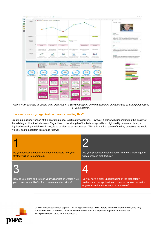

Figure 1: An example in Capsifi of an organisation's Service Blueprint showing alignment of internal and external perspectives of value delivery

#### How can I move my organisation towards creating this?

Creating a digitised version of the operating model is ultimately a journey. However, it starts with understanding the quality of the existing architectural elements. Regardless of the strength of the technology, without high quality data as an input, a digitised operating model would struggle to be classed as a true asset. With this in mind, some of the key questions we would typically ask to ascertain this are as follows:

| Do you possess a capability model that reflects how your                                                                   | Are your processes documented? Are they knitted together                                                        |
|----------------------------------------------------------------------------------------------------------------------------|-----------------------------------------------------------------------------------------------------------------|
| strategy will be implemented?                                                                                              | with a process architecture?                                                                                    |
| T. S<br>How do you store and refresh your Organisation Design? Do<br>you possess clear RACIs for processes and activities? | Do you have a clear understanding of the technology<br>systems and the applications possessed across the entire |



© 2021 PricewaterhouseCoopers LLP. All rights reserved. 'PwC' refers to the UK member firm, and may sometimes refer to the PwC network. Each member firm is a separate legal entity. Please see www.pwc.com/structure for further details.